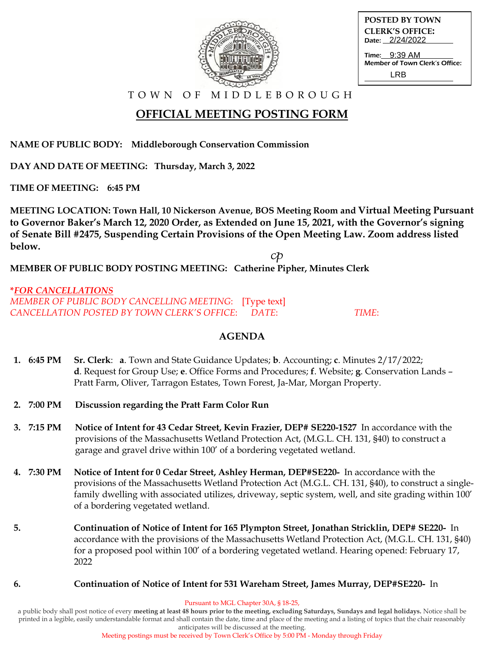

| <b>POSTED BY TOWN</b>  |
|------------------------|
| <b>CLERK'S OFFICE:</b> |
| Date: 2/24/2022        |

Time: Member of Town Clerk's Office: 9:39 AM LRB

T O W N O F M I D D L E B O R O U G H

# **OFFICIAL MEETING POSTING FORM**

**NAME OF PUBLIC BODY: Middleborough Conservation Commission**

**DAY AND DATE OF MEETING: Thursday, March 3, 2022**

**TIME OF MEETING: 6:45 PM**

**MEETING LOCATION: Town Hall, 10 Nickerson Avenue, BOS Meeting Room and Virtual Meeting Pursuant to Governor Baker's March 12, 2020 Order, as Extended on June 15, 2021, with the Governor's signing of Senate Bill #2475, Suspending Certain Provisions of the Open Meeting Law. Zoom address listed below.**

 $c\mathcal{P}$ 

**MEMBER OF PUBLIC BODY POSTING MEETING: Catherine Pipher, Minutes Clerk**

**\****FOR CANCELLATIONS MEMBER OF PUBLIC BODY CANCELLING MEETING*: [Type text] *CANCELLATION POSTED BY TOWN CLERK'S OFFICE*: *DATE*: *TIME*:

#### **AGENDA**

- **1. 6:45 PM Sr. Clerk**: **a**. Town and State Guidance Updates; **b**. Accounting; **c**. Minutes 2/17/2022;  **d**. Request for Group Use; **e**. Office Forms and Procedures; **f**. Website; **g**. Conservation Lands – Pratt Farm, Oliver, Tarragon Estates, Town Forest, Ja-Mar, Morgan Property.
- **2. 7:00 PM Discussion regarding the Pratt Farm Color Run**
- **3. 7:15 PM Notice of Intent for 43 Cedar Street, Kevin Frazier, DEP# SE220-1527** In accordance with the provisions of the Massachusetts Wetland Protection Act, (M.G.L. CH. 131, §40) to construct a garage and gravel drive within 100' of a bordering vegetated wetland.
- **4. 7:30 PM Notice of Intent for 0 Cedar Street, Ashley Herman, DEP#SE220-** In accordance with theprovisions of the Massachusetts Wetland Protection Act (M.G.L. CH. 131, §40), to construct a single family dwelling with associated utilizes, driveway, septic system, well, and site grading within 100' of a bordering vegetated wetland.
- **5. Continuation of Notice of Intent for 165 Plympton Street, Jonathan Stricklin, DEP# SE220-** In accordance with the provisions of the Massachusetts Wetland Protection Act, (M.G.L. CH. 131, §40) for a proposed pool within 100' of a bordering vegetated wetland. Hearing opened: February 17, 2022
- **6. Continuation of Notice of Intent for 531 Wareham Street, James Murray, DEP#SE220-** In

Pursuant to MGL Chapter 30A, § 18-25,

a public body shall post notice of every **meeting at least 48 hours prior to the meeting, excluding Saturdays, Sundays and legal holidays.** Notice shall be printed in a legible, easily understandable format and shall contain the date, time and place of the meeting and a listing of topics that the chair reasonably anticipates will be discussed at the meeting.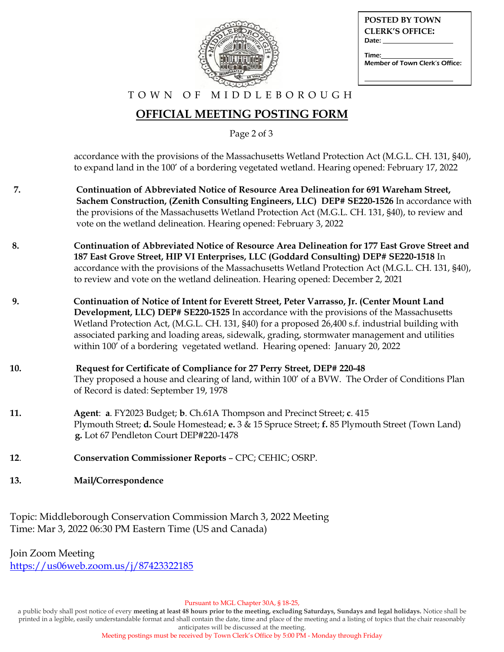

| POSTED BY TOWN                        |
|---------------------------------------|
| <b>CLERK'S OFFICE:</b>                |
| Date:                                 |
| Time:                                 |
| <b>Member of Town Clerk's Office:</b> |
|                                       |

T O W N O F M I D D L E B O R O U G H

## **OFFICIAL MEETING POSTING FORM**

Page 2 of 3

 accordance with the provisions of the Massachusetts Wetland Protection Act (M.G.L. CH. 131, §40), to expand land in the 100' of a bordering vegetated wetland. Hearing opened: February 17, 2022

- **7. Continuation of Abbreviated Notice of Resource Area Delineation for 691 Wareham Street, Sachem Construction, (Zenith Consulting Engineers, LLC) DEP# SE220-1526** In accordance with the provisions of the Massachusetts Wetland Protection Act (M.G.L. CH. 131, §40), to review and vote on the wetland delineation. Hearing opened: February 3, 2022
- **8. Continuation of Abbreviated Notice of Resource Area Delineation for 177 East Grove Street and 187 East Grove Street, HIP VI Enterprises, LLC (Goddard Consulting) DEP# SE220-1518** In accordance with the provisions of the Massachusetts Wetland Protection Act (M.G.L. CH. 131, §40), to review and vote on the wetland delineation. Hearing opened: December 2, 2021
- **9. Continuation of Notice of Intent for Everett Street, Peter Varrasso, Jr. (Center Mount Land Development, LLC) DEP# SE220-1525** In accordance with the provisions of the Massachusetts Wetland Protection Act, (M.G.L. CH. 131, §40) for a proposed 26,400 s.f. industrial building with associated parking and loading areas, sidewalk, grading, stormwater management and utilities within 100' of a bordering vegetated wetland. Hearing opened: January 20, 2022
- **10. Request for Certificate of Compliance for 27 Perry Street, DEP# 220-48** They proposed a house and clearing of land, within 100' of a BVW. The Order of Conditions Plan of Record is dated: September 19, 1978
- **11. Agent**: **a**. FY2023 Budget; **b**. Ch.61A Thompson and Precinct Street; **c**. 415 Plymouth Street; **d.** Soule Homestead; **e.** 3 & 15 Spruce Street; **f.** 85 Plymouth Street (Town Land) **g.** Lot 67 Pendleton Court DEP#220-1478
- **12**. **Conservation Commissioner Reports** CPC; CEHIC; OSRP.
- **13. Mail/Correspondence**

Topic: Middleborough Conservation Commission March 3, 2022 Meeting Time: Mar 3, 2022 06:30 PM Eastern Time (US and Canada)

Join Zoom Meeting

<https://us06web.zoom.us/j/87423322185>

Pursuant to MGL Chapter 30A, § 18-25,

a public body shall post notice of every **meeting at least 48 hours prior to the meeting, excluding Saturdays, Sundays and legal holidays.** Notice shall be printed in a legible, easily understandable format and shall contain the date, time and place of the meeting and a listing of topics that the chair reasonably anticipates will be discussed at the meeting.